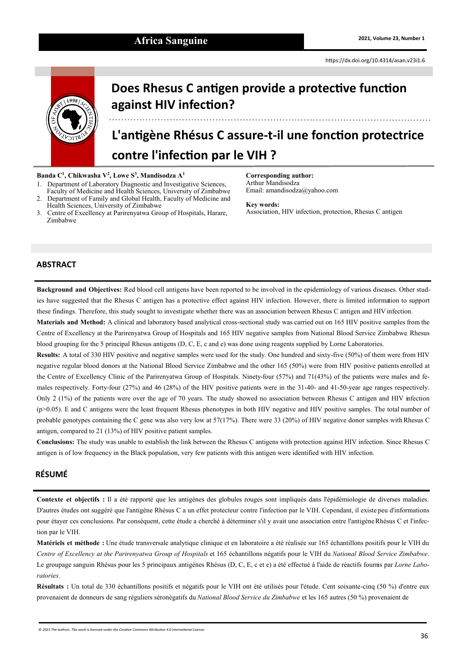## Africa Sanguine **2021, Volume 23, Number 1 2021**, Volume 23, Number 1



# **Does Rhesus C antigen provide a protective function against HIV infection?**

**L'antigène Rhésus C assure-t-il une fonction protectrice contre l'infection par le VIH ?**

**Banda C<sup>1</sup> , Chikwasha V<sup>2</sup> , Lowe S<sup>3</sup> , Mandisodza A 1**

- 1. Department of Laboratory Diagnostic and Investigative Sciences, Faculty of Medicine and Health Sciences, University of Zimbabwe
- 2. Department of Family and Global Health, Faculty of Medicine and Health Sciences, University of Zimbabwe
- 3. Centre of Excellency at Parirenyatwa Group of Hospitals, Harare, Zimbabwe

**Corresponding author:** Arthur Mandisodza Email: [amandisodza@yahoo.com](mailto:amandisodza@yahoo.com)

#### **Key words:**

Association, HIV infection, protection, Rhesus C antigen

#### **ABSTRACT**

**Background and Objectives:** Red blood cell antigens have been reported to be involved in the epidemiology of various diseases. Other studies have suggested that the Rhesus C antigen has a protective effect against HIV infection. However, there is limited information to support these findings. Therefore, this study sought to investigate whether there was an association between Rhesus C antigen and HIV infection.

**Materials and Method:** A clinical and laboratory based analytical cross-sectional study was carried out on 165 HIV positive samples from the Centre of Excellency at the Parirenyatwa Group of Hospitals and 165 HIV negative samples from National Blood Service Zimbabwe. Rhesus blood grouping for the 5 principal Rhesus antigens (D, C, E, c and e) was done using reagents supplied by Lorne Laboratories.

**Results:** A total of 330 HIV positive and negative samples were used for the study. One hundred and sixty-five (50%) of them were from HIV negative regular blood donors at the National Blood Service Zimbabwe and the other 165 (50%) were from HIV positive patients enrolled at the Centre of Excellency Clinic of the Parirenyatwa Group of Hospitals. Ninety-four (57%) and 71(43%) of the patients were males and females respectively. Forty-four (27%) and 46 (28%) of the HIV positive patients were in the 31-40- and 41-50-year age ranges respectively. Only 2 (1%) of the patients were over the age of 70 years. The study showed no association between Rhesus C antigen and HIV infection (p>0.05). E and C antigens were the least frequent Rhesus phenotypes in both HIV negative and HIV positive samples. The total number of probable genotypes containing the C gene was also very low at  $57(17%)$ . There were 33 (20%) of HIV negative donor samples with Rhesus C antigen, compared to 21 (13%) of HIV positive patient samples.

**Conclusions:** The study was unable to establish the link between the Rhesus C antigens with protection against HIV infection. Since Rhesus C antigen is of low frequency in the Black population, very few patients with this antigen were identified with HIV infection.

### **RÉSUMÉ**

**Contexte et objectifs :** Il a été rapporté que les antigènes des globules rouges sont impliqués dans l'épidémiologie de diverses maladies. D'autres études ont suggéré que l'antigène Rhésus C a un effet protecteur contre l'infection par le VIH. Cependant, il existe peu d'informations pour étayer ces conclusions. Par conséquent, cette étude a cherché à déterminer s'il y avait une association entre l'antigène Rhésus C et l'infection par le VIH.

**Matériels et méthode :** Une étude transversale analytique clinique et en laboratoire a été réalisée sur 165 échantillons positifs pour le VIH du *Centre of Excellency at the Parirenyatwa Group of Hospitals* et 165 échantillons négatifs pour le VIH du *National Blood Service Zimbabwe*. Le groupage sanguin Rhésus pour les 5 principaux antigènes Rhésus (D, C, E, c et e) a été effectué à l'aide de réactifs fournis par *Lorne Laboratories*.

**Résultats :** Un total de 330 échantillons positifs et négatifs pour le VIH ont été utilisés pour l'étude. Cent soixante-cinq (50 %) d'entre eux provenaient de donneurs de sang réguliers séronégatifs du *National Blood Service du Zimbabwe* et les 165 autres (50 %) provenaient de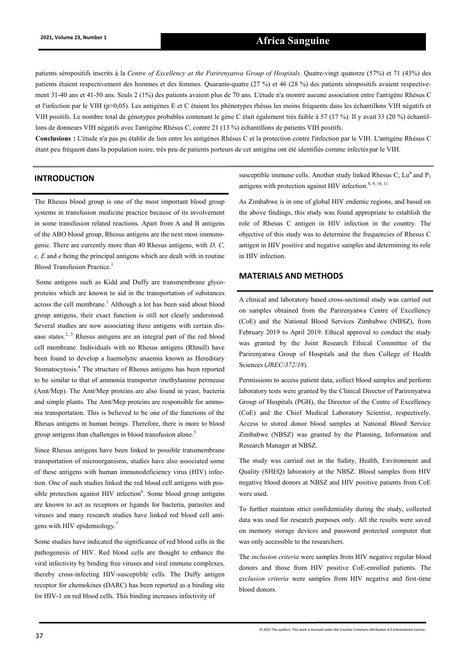## **2021, Volume 23, Number 1 Africa Sanguine**

patients séropositifs inscrits à la *Centre of Excellency at the Parirenyatwa Group of Hospitals*. Quatre-vingt quatorze (57%) et 71 (43%) des patients étaient respectivement des hommes et des femmes. Quarante-quatre (27 %) et 46 (28 %) des patients séropositifs avaient respectivement 31-40 ans et 41-50 ans. Seuls 2 (1%) des patients avaient plus de 70 ans. L'étude n'a montré aucune association entre l'antigène Rhésus C et l'infection par le VIH (p>0,05). Les antigènes E et C étaient les phénotypes rhésus les moins fréquents dans les échantillons VIH négatifs et VIH positifs. Le nombre total de génotypes probables contenant le gène C était également très faible à 57 (17 %). Il y avait 33 (20 %) échantillons de donneurs VIH négatifs avec l'antigène Rhésus C, contre 21 (13 %) échantillons de patients VIH positifs.

**Conclusions :** L'étude n'a pas pu établir de lien entre les antigènes Rhésus C et la protection contre l'infection par le VIH. L'antigène Rhésus C étant peu fréquent dans la population noire, très peu de patients porteurs de cet antigène ont été identifiés comme infectés par le VIH.

#### **INTRODUCTION**

The Rhesus blood group is one of the most important blood group systems in transfusion medicine practice because of its involvement in some transfusion related reactions. Apart from A and B antigens of the ABO blood group, Rhesus antigens are the next most immunogenic. There are currently more than 40 Rhesus antigens, with *D, C, c, E* and *e* being the principal antigens which are dealt with in routine Blood Transfusion Practice.<sup>1</sup>

Some antigens such as Kidd and Duffy are transmembrane glycoproteins which are known to aid in the transportation of substances across the cell membrane.<sup>1</sup> Although a lot has been said about blood group antigens, their exact function is still not clearly understood. Several studies are now associating these antigens with certain disease states.<sup>2, 3</sup> Rhesus antigens are an integral part of the red blood cell membrane. Individuals with no Rhesus antigens (Rhnull) have been found to develop a haemolytic anaemia known as Hereditary Stomatocytosis.<sup>4</sup> The structure of Rhesus antigens has been reported to be similar to that of ammonia transporter /methylamine permease (Amt/Mep). The Amt/Mep proteins are also found in yeast, bacteria and simple plants. The Amt/Mep proteins are responsible for ammonia transportation. This is believed to be one of the functions of the Rhesus antigens in human beings. Therefore, there is more to blood group antigens than challenges in blood transfusion alone.<sup>5</sup>

Since Rhesus antigens have been linked to possible transmembrane transportation of microorganisms, studies have also associated some of these antigens with human immunodeficiency virus (HIV) infection. One of such studies linked the red blood cell antigens with possible protection against HIV infection $6$ . Some blood group antigens are known to act as receptors or ligands for bacteria, parasites and viruses and many research studies have linked red blood cell antigens with HIV epidemiology.<sup>7</sup>

Some studies have indicated the significance of red blood cells in the pathogenesis of HIV. Red blood cells are thought to enhance the viral infectivity by binding free viruses and viral immune complexes, thereby cross-infecting HIV-susceptible cells. The Duffy antigen receptor for chemokines (DARC) has been reported as a binding site for HIV-1 on red blood cells. This binding increases infectivity of

susceptible immune cells. Another study linked Rhesus C,  $Lu^b$  and  $P_1$ antigens with protection against HIV infection.<sup>8, 9, 10, 11</sup>

As Zimbabwe is in one of global HIV endemic regions, and based on the above findings, this study was found appropriate to establish the role of Rhesus C antigen in HIV infection in the country. The objective of this study was to determine the frequencies of Rhesus C antigen in HIV positive and negative samples and determining its role in HIV infection.

#### **MATERIALS AND METHODS**

A clinical and laboratory based cross-sectional study was carried out on samples obtained from the Parirenyatwa Centre of Excellency (CoE) and the National Blood Services Zimbabwe (NBSZ), from February 2019 to April 2019. Ethical approval to conduct the study was granted by the Joint Research Ethical Committee of the Parirenyatwa Group of Hospitals and the then College of Health Sciences (*JREC/372/18*).

Permissions to access patient data, collect blood samples and perform laboratory tests were granted by the Clinical Director of Parirenyatwa Group of Hospitals (PGH), the Director of the Centre of Excellency (CoE) and the Chief Medical Laboratory Scientist, respectively. Access to stored donor blood samples at National Blood Service Zimbabwe (NBSZ) was granted by the Planning, Information and Research Manager at NBSZ.

The study was carried out in the Safety, Health, Environment and Quality (SHEQ) laboratory at the NBSZ. Blood samples from HIV negative blood donors at NBSZ and HIV positive patients from CoE were used.

To further maintain strict confidentiality during the study, collected data was used for research purposes only. All the results were saved on memory storage devices and password protected computer that was only accessible to the researchers.

The *inclusion criteria* were samples from HIV negative regular blood donors and those from HIV positive CoE-enrolled patients. The e*xclusion criteria* were samples from HIV negative and first-time blood donors.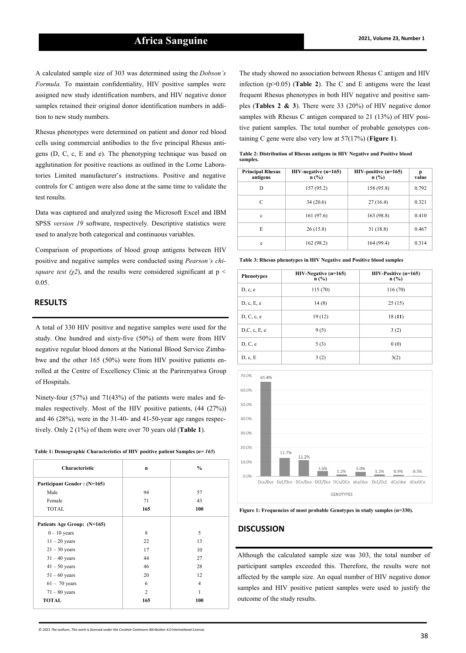A calculated sample size of 303 was determined using the *Dobson's Formula.* To maintain confidentiality, HIV positive samples were assigned new study identification numbers, and HIV negative donor samples retained their original donor identification numbers in addition to new study numbers.

Rhesus phenotypes were determined on patient and donor red blood cells using commercial antibodies to the five principal Rhesus antigens (D, C, c, E and e). The phenotyping technique was based on agglutination for positive reactions as outlined in the Lorne Laboratories Limited manufacturer's instructions. Positive and negative controls for C antigen were also done at the same time to validate the test results.

Data was captured and analyzed using the Microsoft Excel and IBM SPSS *version 19* software, respectively. Descriptive statistics were used to analyze both categorical and continuous variables.

Comparison of proportions of blood group antigens between HIV positive and negative samples were conducted using *Pearson's chisquare test (* $\chi$ *2)*, and the results were considered significant at p < 0.05.

#### **RESULTS**

A total of 330 HIV positive and negative samples were used for the study. One hundred and sixty-five (50%) of them were from HIV negative regular blood donors at the National Blood Service Zimbabwe and the other 165 (50%) were from HIV positive patients enrolled at the Centre of Excellency Clinic at the Parirenyatwa Group of Hospitals.

Ninety-four (57%) and 71(43%) of the patients were males and females respectively. Most of the HIV positive patients, (44 (27%)) and 46 (28%), were in the 31-40- and 41-50-year age ranges respectively. Only 2 (1%) of them were over 70 years old (**Table 1**).

| Table 1: Demographic Characteristics of HIV positive patient Samples $(n=165)$ |  |
|--------------------------------------------------------------------------------|--|
|--------------------------------------------------------------------------------|--|

| Characteristic              | $\mathbf n$    | $\frac{0}{0}$  |
|-----------------------------|----------------|----------------|
| Participant Gender: (N=165) |                |                |
| Male                        | 94             | 57             |
| Female                      | 71             | 43             |
| <b>TOTAL</b>                | 165            | 100            |
| Patients Age Group: (N=165) |                |                |
| $0 - 10$ years              | 8              | 5              |
| $11 - 20$ years             | 22             | 13             |
| $21 - 30$ years             | 17             | 10             |
| $31 - 40$ years             | 44             | 27             |
| $41 - 50$ years             | 46             | 28             |
| $51 - 60$ years             | 20             | 12             |
| $61 - 70$ years             | 6              | $\overline{4}$ |
| $71 - 80$ years             | $\overline{c}$ | 1              |
| <b>TOTAL</b>                | 165            | 100            |

The study showed no association between Rhesus C antigen and HIV infection (p>0.05) (**Table 2**). The C and E antigens were the least frequent Rhesus phenotypes in both HIV negative and positive samples (**Tables 2 & 3**). There were 33 (20%) of HIV negative donor samples with Rhesus C antigen compared to 21 (13%) of HIV positive patient samples. The total number of probable genotypes containing C gene were also very low at 57(17%) (**Figure 1**).

| <b>Principal Rhesus</b><br>antigens | $HIV$ -negative (n=165)<br>$n$ (%) | $HIV$ -positive (n=165)<br>n(%) | р<br>value |
|-------------------------------------|------------------------------------|---------------------------------|------------|
| D                                   | 157 (95.2)                         | 158 (95.8)                      | 0.792      |
| C                                   | 34(20.6)                           | 27(16.4)                        | 0.321      |
| $\mathbf c$                         | 161 (97.6)                         | 163 (98.8)                      | 0.410      |
| E                                   | 26(15.8)                           | 31(18.8)                        | 0.467      |
| e                                   | 162 (98.2)                         | 164 (99.4)                      | 0.314      |

**Table 2: Distribution of Rhesus antigens in HIV Negative and Positive blood samples.**

| Table 3: Rhesus phenotypes in HIV Negative and Positive blood samples |                                |                                   |  |  |
|-----------------------------------------------------------------------|--------------------------------|-----------------------------------|--|--|
| <b>Phenotypes</b>                                                     | $HIV-Negative (n=165)$<br>n(%) | $HIV-Positive (n=165)$<br>$n$ (%) |  |  |
| D, c, e                                                               | 115 (70)                       | 116 (70)                          |  |  |
| D, c, E, e                                                            | 14(8)                          | 25(15)                            |  |  |
| D, C, c, e                                                            | 19(12)                         | 18(11)                            |  |  |
| D, C, c, E, e                                                         | 9(5)                           | 3(2)                              |  |  |
| D, C, e                                                               | 5(3)                           | 0(0)                              |  |  |

D, c, E  $3(2)$   $3(2)$   $3(2)$ 



**Figure 1: Frequencies of most probable Genotypes in study samples (n=330).**

#### **DISCUSSION**

Although the calculated sample size was 303, the total number of participant samples exceeded this. Therefore, the results were not affected by the sample size. An equal number of HIV negative donor samples and HIV positive patient samples were used to justify the outcome of the study results.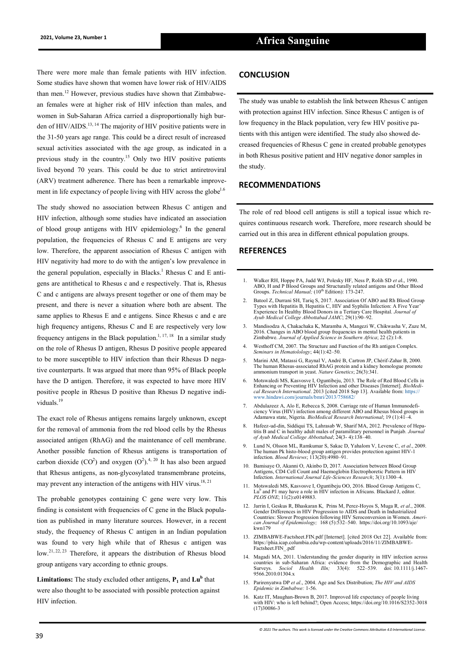There were more male than female patients with HIV infection. Some studies have shown that women have lower risk of HIV/AIDS than men.<sup>12</sup> However, previous studies have shown that Zimbabwean females were at higher risk of HIV infection than males, and women in Sub-Saharan Africa carried a disproportionally high burden of HIV/AIDS.<sup>13, 14</sup> The majority of HIV positive patients were in the 31-50 years age range. This could be a direct result of increased sexual activities associated with the age group, as indicated in a previous study in the country.<sup>15</sup> Only two HIV positive patients lived beyond 70 years. This could be due to strict antiretroviral (ARV) treatment adherence. There has been a remarkable improvement in life expectancy of people living with HIV across the globe<sup>1.6</sup>

The study showed no association between Rhesus C antigen and HIV infection, although some studies have indicated an association of blood group antigens with HIV epidemiology.<sup>6</sup> In the general population, the frequencies of Rhesus C and E antigens are very low. Therefore, the apparent association of Rhesus C antigen with HIV negativity had more to do with the antigen's low prevalence in the general population, especially in Blacks.<sup>1</sup> Rhesus C and E antigens are antithetical to Rhesus c and e respectively. That is, Rhesus C and c antigens are always present together or one of them may be present, and there is never a situation where both are absent. The same applies to Rhesus E and e antigens. Since Rhesus c and e are high frequency antigens, Rhesus C and E are respectively very low frequency antigens in the Black population.<sup>1, 17, 18</sup> In a similar study on the role of Rhesus D antigen, Rhesus D positive people appeared to be more susceptible to HIV infection than their Rhesus D negative counterparts. It was argued that more than 95% of Black people have the D antigen. Therefore, it was expected to have more HIV positive people in Rhesus D positive than Rhesus D negative individuals.<sup>19</sup>

The exact role of Rhesus antigens remains largely unknown, except for the removal of ammonia from the red blood cells by the Rhesus associated antigen (RhAG) and the maintenance of cell membrane. Another possible function of Rhesus antigens is transportation of carbon dioxide (CO<sup>2</sup>) and oxygen (O<sup>2</sup>).<sup>4, 20</sup> It has also been argued that Rhesus antigens, as non-glycosylated transmembrane proteins, may prevent any interaction of the antigens with HIV virus.<sup>18, 21</sup>

The probable genotypes containing C gene were very low. This finding is consistent with frequencies of C gene in the Black population as published in many literature sources. However, in a recent study, the frequency of Rhesus C antigen in an Indian population was found to very high while that of Rhesus c antigen was low.<sup>21, 22, 23</sup> Therefore, it appears the distribution of Rhesus blood group antigens vary according to ethnic groups.

**Limitations:** The study excluded other antigens, **P<sup>1</sup>** and **Lu<sup>b</sup>** that were also thought to be associated with possible protection against HIV infection.

#### **CONCLUSION**

The study was unable to establish the link between Rhesus C antigen with protection against HIV infection. Since Rhesus C antigen is of low frequency in the Black population, very few HIV positive patients with this antigen were identified. The study also showed decreased frequencies of Rhesus C gene in created probable genotypes in both Rhesus positive patient and HIV negative donor samples in the study.

#### **RECOMMENDATIONS**

The role of red blood cell antigens is still a topical issue which requires continuous research work. Therefore, more research should be carried out in this area in different ethnical population groups.

#### **REFERENCES**

- 1. Walker RH, Hoppe PA, Judd WJ, Polesky HF, Ness P, Rolih SD *et a*l., 1990. ABO, H and P Blood Groups and Structurally related antigens and Other Blood Groups. *Technical Manual*; (10<sup>th</sup> Edition): 173-247.
- 2. Batool Z, Durrani SH, Tariq S, 2017. Association Of ABO and Rh Blood Group Types with Hepatitis B, Hepatitis C, HIV and Syphilis Infection: A Five Year' Experience In Healthy Blood Donors in a Tertiary Care Hospital. *J Ayub Medical College Abbottabad JAMC*; 29(1):90–92.
- 3. Mandisodza A, Chakachaka K, Maramba A, Mangezi W, Chikwasha V, Zuze M, 2016. Changes in ABO blood group frequencies in mental health patients in Zimbabwe. *Journal of Applied Science in Southern Africa*; 22 (2):1-8.
- 4. Westhoff CM, 2007. The Structure and Function of the Rh antigen Complex. *Seminars in Hematolology*; 44(1):42–50.
- 5. Marini AM, Matassi G, Raynal V, André B, Cartron JP, Chérif-Zahar B, 2000. The human Rhesus-associated RhAG protein and a kidney homologue promote ammonium transport in yeast. *Nature Genetics*; 26(3):341.
- 6. Motswaledi MS, Kasvosve I, Oguntibeju, 2013. The Role of Red Blood Cells in Enhancing or Preventing HIV Infection and other Diseases [Internet]. *BioMedical Research International*. 2013 [cited 2018 Sep 13]. Available from: [https://](https://www.hindawi.com/journals/bmri/2013/758682/) [www.hindawi.com/journals/bmri/2013/758682/](https://www.hindawi.com/journals/bmri/2013/758682/)
- 7. Abdulazeez A, Alo E, Rebecca S, 2008. Carriage rate of Human Immunodefi-ciency Virus (HIV) infection among different ABO and Rhesus blood groups in Adamawa state, Nigeria*. BioMedical Research International*; 19 (1):41–4.
- 8. Hafeez-ud-din, Siddiqui TS, Lahrasab W, Sharif MA, 2012. Prevalence of Hepatitis B and C in healthy adult males of paramilitary personnel in Punjab*. Journal of Ayub Medical College Abbottabad*; 24(3- 4):138–40.
- 9. Lund N, Olsson ML, Ramkumar S, Sakac D, Yahalom V, Levene C, *et al*., 2009. The human Pk histo-blood group antigen provides protection against HIV-1 infection. *Blood Reviews*; 113(20):4980–91.
- 10. Bamisaye O, Akanni O, Akinbo D, 2017. Association between Blood Group Antigens, CD4 Cell Count and Haemoglobin Electrophoretic Pattern in HIV Infection. *International Journal Life-Sciences Research*; 3(1):1300–4.
- 11. Motswaledi MS, Kasvosve I, Oguntibeju OO, 2016. Blood Group Antigens C, Lu<sup>b</sup> and P1 may have a role in HIV infection in Africans. Blackard J, editor. *PLOS ONE*; 11(2):e0149883.
- 12. Jarrin [I,](javascript:;) Geskus [R,](javascript:;) Bhaskaran K, Prins M, Perez-Hoyos S, Muga R*, et al*., 2008. Gender Differences in HIV Progression to AIDS and Death in Industrialized Countries: Slower Progression following HIV Seroconversion in Women. *American Journal of Epidemiology;* 168 (5):532–540. [https://doi.org/10.1093/aje/](https://doi.org/10.1093/aje/kwn179) [kwn179](https://doi.org/10.1093/aje/kwn179)
- 13. ZIMBABWE-Factsheet.FIN.pdf [Internet]. [cited 2018 Oct 22]. Available from: https://phia.icap.columbia.edu/wp-[content/uploads/2016/11/ZIMBABWE](https://phia.icap.columbia.edu/wp-content/uploads/2016/11/ZIMBABWE-Factsheet.FIN_.pdf)-[Factsheet.FIN\\_.pdf](https://phia.icap.columbia.edu/wp-content/uploads/2016/11/ZIMBABWE-Factsheet.FIN_.pdf)
- 14. Magadi MA, 2011. Understanding the gender disparity in HIV infection across countries in sub-Saharan Africa: evidence from the Demographic and Health Surveys. *[Sociol Health Illn;](https://www.ncbi.nlm.nih.gov/pmc/articles/PMC3412216/)* 33(4): 522–539. doi: [10.1111/j.1467](https://dx.doi.org/10.1111%2Fj.1467-9566.2010.01304.x)- [9566.2010.01304.x](https://dx.doi.org/10.1111%2Fj.1467-9566.2010.01304.x)
- 15. Parirenyatwa DP *et al*., 2004. Age and Sex Distribution; *The HIV and AIDS Epidemic in Zimbabwe:* 1-56.
- 16. Katz IT, Maughan-Brown B, 2017. Improved life expectancy of people living with HIV: who is left behind?; Open Access; [https://doi.org/10.1016/S2352](https://doi.org/10.1016/S2352-3018(17)30086-3)-3018 [\(17\)30086](https://doi.org/10.1016/S2352-3018(17)30086-3)-3